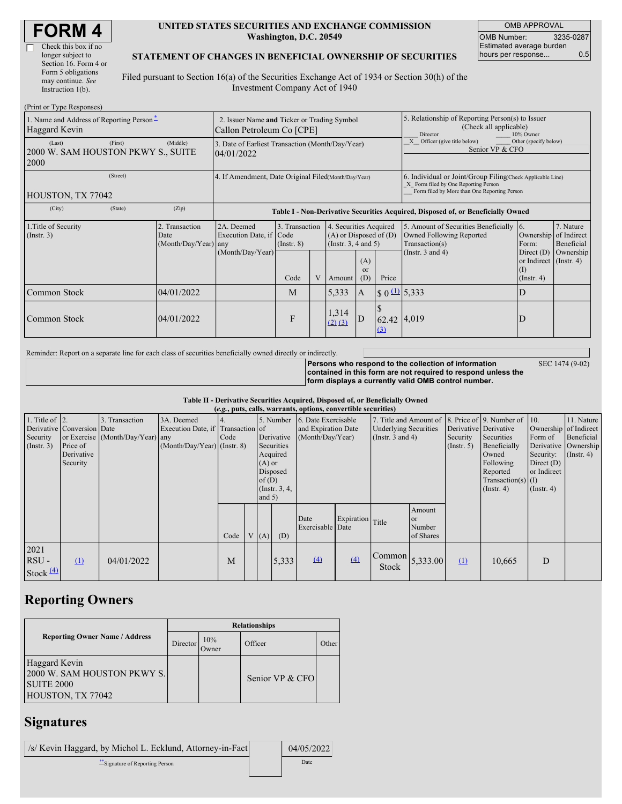| <b>FORM 4</b> |
|---------------|
|---------------|

 $\Box$ 

### **UNITED STATES SECURITIES AND EXCHANGE COMMISSION Washington, D.C. 20549**

OMB APPROVAL OMB Number: 3235-0287 Estimated average burden hours per response... 0.5

### **STATEMENT OF CHANGES IN BENEFICIAL OWNERSHIP OF SECURITIES**

Filed pursuant to Section 16(a) of the Securities Exchange Act of 1934 or Section 30(h) of the Investment Company Act of 1940

| (Print or Type Responses)                                 |                                                                          |                                                      |                                                                                  |                                           |  |                                                                                                     |                                                                          |                                                                                                                                                    |                                                                                                        |                                                                                                            |                                      |
|-----------------------------------------------------------|--------------------------------------------------------------------------|------------------------------------------------------|----------------------------------------------------------------------------------|-------------------------------------------|--|-----------------------------------------------------------------------------------------------------|--------------------------------------------------------------------------|----------------------------------------------------------------------------------------------------------------------------------------------------|--------------------------------------------------------------------------------------------------------|------------------------------------------------------------------------------------------------------------|--------------------------------------|
| 1. Name and Address of Reporting Person-<br>Haggard Kevin | 2. Issuer Name and Ticker or Trading Symbol<br>Callon Petroleum Co [CPE] |                                                      |                                                                                  |                                           |  | 5. Relationship of Reporting Person(s) to Issuer<br>(Check all applicable)<br>10% Owner<br>Director |                                                                          |                                                                                                                                                    |                                                                                                        |                                                                                                            |                                      |
| (Last)<br>2000 W. SAM HOUSTON PKWY S., SUITE<br>2000      | 3. Date of Earliest Transaction (Month/Day/Year)<br>04/01/2022           |                                                      |                                                                                  |                                           |  |                                                                                                     | Other (specify below)<br>X Officer (give title below)<br>Senior VP & CFO |                                                                                                                                                    |                                                                                                        |                                                                                                            |                                      |
| HOUSTON, TX 77042                                         |                                                                          | 4. If Amendment, Date Original Filed(Month/Day/Year) |                                                                                  |                                           |  |                                                                                                     |                                                                          | 6. Individual or Joint/Group Filing Check Applicable Line)<br>X Form filed by One Reporting Person<br>Form filed by More than One Reporting Person |                                                                                                        |                                                                                                            |                                      |
| (City)                                                    | (State)                                                                  | (Zip)                                                | Table I - Non-Derivative Securities Acquired, Disposed of, or Beneficially Owned |                                           |  |                                                                                                     |                                                                          |                                                                                                                                                    |                                                                                                        |                                                                                                            |                                      |
| 1. Title of Security<br>(Insert. 3)                       |                                                                          | 2. Transaction<br>Date<br>(Month/Day/Year) any       | 2A. Deemed<br>Execution Date, if Code<br>(Month/Day/Year)                        | 3. Transaction<br>$($ Instr. $8)$<br>Code |  | 4. Securities Acquired<br>$(A)$ or Disposed of $(D)$<br>(Insert. 3, 4 and 5)<br>Amount              | (A)<br><sub>or</sub><br>(D)                                              | Price                                                                                                                                              | 5. Amount of Securities Beneficially<br>Owned Following Reported<br>Transaction(s)<br>(Instr. 3 and 4) | 16.<br>Ownership of Indirect<br>Form:<br>Direct $(D)$<br>or Indirect (Instr. 4)<br>(I)<br>$($ Instr. 4 $)$ | 7. Nature<br>Beneficial<br>Ownership |
| Common Stock                                              |                                                                          | 04/01/2022                                           |                                                                                  | M                                         |  | 5,333                                                                                               | $\overline{A}$                                                           | $\frac{(1)}{5}$ 0 $\frac{(1)}{2}$ 5,333                                                                                                            |                                                                                                        | D                                                                                                          |                                      |
| Common Stock                                              |                                                                          | 04/01/2022                                           |                                                                                  | F                                         |  | 1,314<br>$(2)$ $(3)$                                                                                | D                                                                        | 62.42 4,019<br>(3)                                                                                                                                 |                                                                                                        | D                                                                                                          |                                      |

Reminder: Report on a separate line for each class of securities beneficially owned directly or indirectly.

**Persons who respond to the collection of information contained in this form are not required to respond unless the form displays a currently valid OMB control number.** SEC 1474 (9-02)

### **Table II - Derivative Securities Acquired, Disposed of, or Beneficially Owned**

| (e.g., puts, calls, warrants, options, convertible securities) |                                                                  |                                                    |                                                                                  |      |  |      |                                                                                                                                                                                        |                          |                  |                                                                                                              |                                     |                              |                                                                                                                                   |                                                                                                                          |                                        |
|----------------------------------------------------------------|------------------------------------------------------------------|----------------------------------------------------|----------------------------------------------------------------------------------|------|--|------|----------------------------------------------------------------------------------------------------------------------------------------------------------------------------------------|--------------------------|------------------|--------------------------------------------------------------------------------------------------------------|-------------------------------------|------------------------------|-----------------------------------------------------------------------------------------------------------------------------------|--------------------------------------------------------------------------------------------------------------------------|----------------------------------------|
| 1. Title of $\vert$ 2.<br>Security<br>(Insert. 3)              | Derivative Conversion Date<br>Price of<br>Derivative<br>Security | 3. Transaction<br>or Exercise (Month/Day/Year) any | 3A. Deemed<br>Execution Date, if Transaction of<br>$(Month/Day/Year)$ (Instr. 8) | Code |  |      | 6. Date Exercisable<br>5. Number<br>and Expiration Date<br>(Month/Day/Year)<br>Derivative<br>Securities<br>Acquired<br>$(A)$ or<br>Disposed<br>of(D)<br>$($ Instr. $3, 4,$<br>and $5)$ |                          |                  | 7. Title and Amount of 8. Price of 9. Number of 10.<br><b>Underlying Securities</b><br>(Instr. $3$ and $4$ ) |                                     | Security<br>$($ Instr. 5 $)$ | Derivative Derivative<br>Securities<br>Beneficially<br>Owned<br>Following<br>Reported<br>$Transaction(s)$ (I)<br>$($ Instr. 4 $)$ | Ownership of Indirect<br>Form of<br>Derivative Ownership<br>Security:<br>Direct $(D)$<br>or Indirect<br>$($ Instr. 4 $)$ | 11. Nature<br>Beneficial<br>(Insert 4) |
|                                                                |                                                                  |                                                    |                                                                                  | Code |  | V(A) | (D)                                                                                                                                                                                    | Date<br>Exercisable Date | Expiration Title |                                                                                                              | Amount<br>or<br>Number<br>of Shares |                              |                                                                                                                                   |                                                                                                                          |                                        |
| 2021<br>$RSU -$<br>Stock $(4)$                                 | $\Omega$                                                         | 04/01/2022                                         |                                                                                  | M    |  |      | 5,333                                                                                                                                                                                  | $\left(4\right)$         | $\Delta$         | $\begin{bmatrix} \text{Common} \\ 5,333.00 \end{bmatrix}$<br><b>Stock</b>                                    |                                     | $\Omega$                     | 10,665                                                                                                                            | D                                                                                                                        |                                        |

## **Reporting Owners**

|                                                                                        | <b>Relationships</b> |              |                 |       |  |  |  |  |
|----------------------------------------------------------------------------------------|----------------------|--------------|-----------------|-------|--|--|--|--|
| <b>Reporting Owner Name / Address</b>                                                  | Director             | 10%<br>Owner | Officer         | Other |  |  |  |  |
| Haggard Kevin<br>2000 W. SAM HOUSTON PKWY S.<br><b>SUITE 2000</b><br>HOUSTON, TX 77042 |                      |              | Senior VP & CFO |       |  |  |  |  |

# **Signatures**

| /s/ Kevin Haggard, by Michol L. Ecklund, Attorney-in-Fact | 04/05/2022 |
|-----------------------------------------------------------|------------|
| "Signature of Reporting Person"                           | Date       |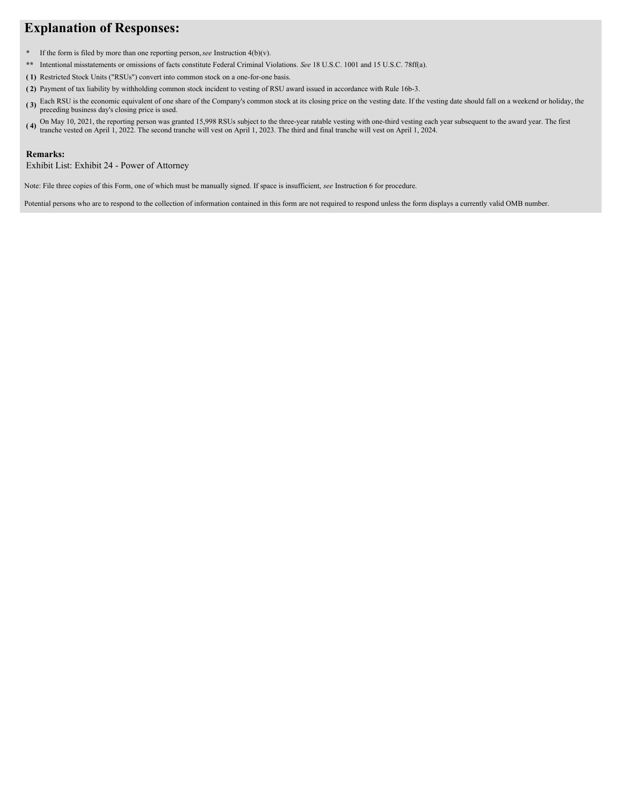# **Explanation of Responses:**

- **\*** If the form is filed by more than one reporting person,*see* Instruction 4(b)(v).
- **\*\*** Intentional misstatements or omissions of facts constitute Federal Criminal Violations. *See* 18 U.S.C. 1001 and 15 U.S.C. 78ff(a).
- **( 1)** Restricted Stock Units ("RSUs") convert into common stock on a one-for-one basis.
- **( 2)** Payment of tax liability by withholding common stock incident to vesting of RSU award issued in accordance with Rule 16b-3.
- **( 3)** Each RSU is the economic equivalent of one share of the Company's common stock at its closing price on the vesting date. If the vesting date should fall on a weekend or holiday, the preceding business day's closing price is used.
- (4) On May 10, 2021, the reporting person was granted 15,998 RSUs subject to the three-year ratable vesting with one-third vesting each year subsequent to the award year. The first tranche vested on April 1, 2022. The seco

#### **Remarks:**

Exhibit List: Exhibit 24 - Power of Attorney

Note: File three copies of this Form, one of which must be manually signed. If space is insufficient, *see* Instruction 6 for procedure.

Potential persons who are to respond to the collection of information contained in this form are not required to respond unless the form displays a currently valid OMB number.